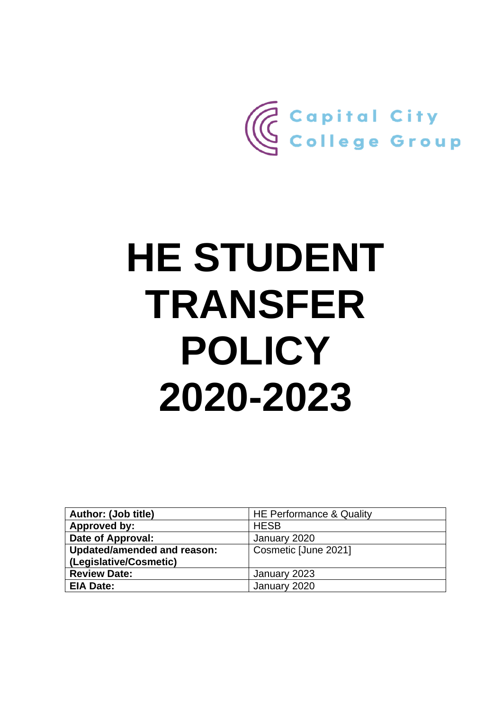

# **HE STUDENT TRANSFER POLICY 2020-2023**

| Author: (Job title)                | HE Performance & Quality |
|------------------------------------|--------------------------|
| Approved by:                       | <b>HESB</b>              |
| Date of Approval:                  | January 2020             |
| <b>Updated/amended and reason:</b> | Cosmetic [June 2021]     |
| (Legislative/Cosmetic)             |                          |
| <b>Review Date:</b>                | January 2023             |
| <b>EIA Date:</b>                   | January 2020             |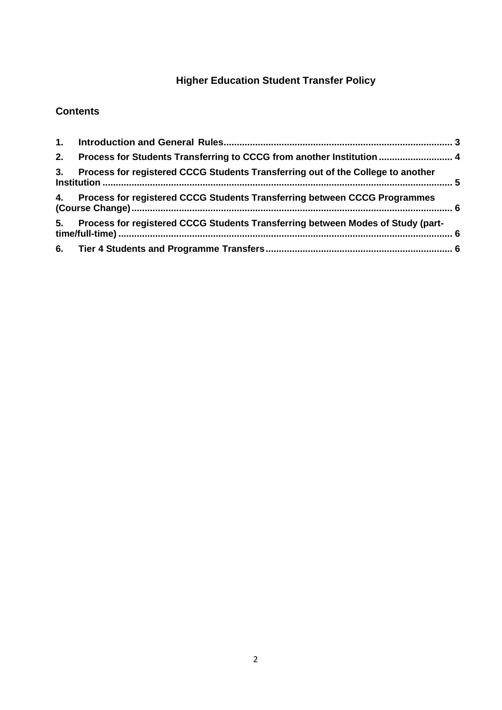# **Higher Education Student Transfer Policy**

# **Contents**

| 2. | Process for Students Transferring to CCCG from another Institution  4           |  |
|----|---------------------------------------------------------------------------------|--|
| 3. | Process for registered CCCG Students Transferring out of the College to another |  |
| 4. | Process for registered CCCG Students Transferring between CCCG Programmes       |  |
| 5. | Process for registered CCCG Students Transferring between Modes of Study (part- |  |
|    |                                                                                 |  |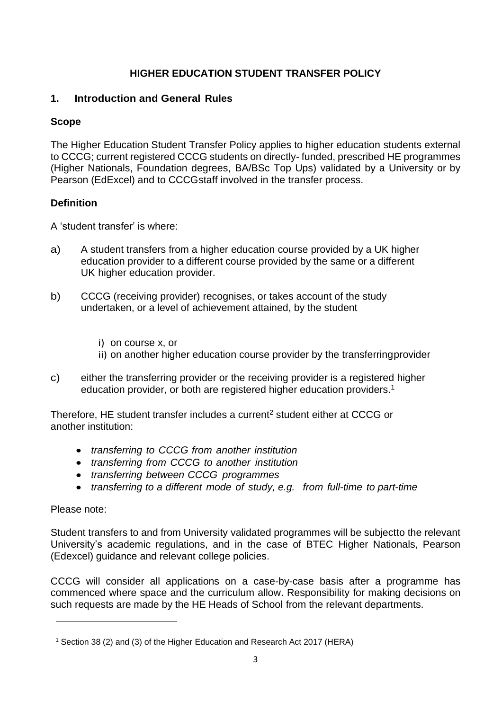# **HIGHER EDUCATION STUDENT TRANSFER POLICY**

# <span id="page-2-0"></span>**1. Introduction and General Rules**

# **Scope**

The Higher Education Student Transfer Policy applies to higher education students external to CCCG; current registered CCCG students on directly- funded, prescribed HE programmes (Higher Nationals, Foundation degrees, BA/BSc Top Ups) validated by a University or by Pearson (EdExcel) and to CCCGstaff involved in the transfer process.

# **Definition**

A 'student transfer' is where:

- a) A student transfers from a higher education course provided by a UK higher education provider to a different course provided by the same or a different UK higher education provider.
- b) CCCG (receiving provider) recognises, or takes account of the study undertaken, or a level of achievement attained, by the student
	- i) on course x, or
	- ii) on another higher education course provider by the transferringprovider
- c) either the transferring provider or the receiving provider is a registered higher education provider, or both are registered higher education providers.[1](#page-3-1)

Therefore, HE student transfer includes a current<sup>[2](#page-3-2)</sup> student either at CCCG or another institution:

- *transferring to CCCG from another institution*
- *transferring from CCCG to another institution*
- *transferring between CCCG programmes*
- *transferring to a different mode of study, e.g. from full-time to part-time*

# Please note:

Student transfers to and from University validated programmes will be subjectto the relevant University's academic regulations, and in the case of BTEC Higher Nationals, Pearson (Edexcel) guidance and relevant college policies.

CCCG will consider all applications on a case-by-case basis after a programme has commenced where space and the curriculum allow. Responsibility for making decisions on such requests are made by the HE Heads of School from the relevant departments.

<sup>1</sup> Section 38 (2) and (3) of the Higher Education and Research Act 2017 (HERA)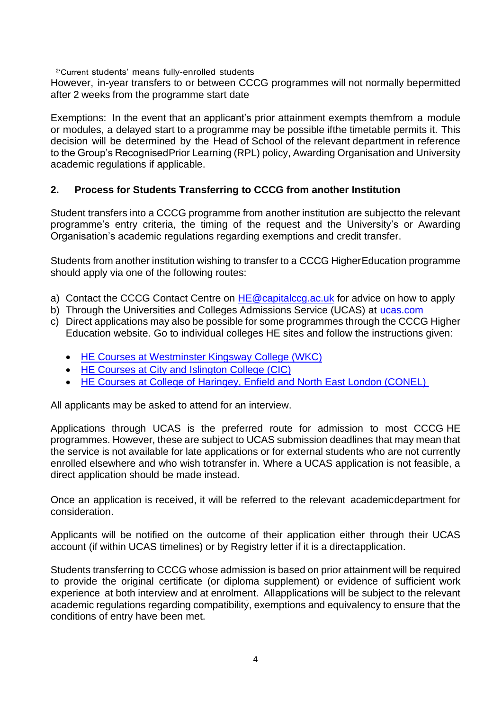<span id="page-3-2"></span>2 'Current students' means fully-enrolled students

However, in-year transfers to or between CCCG programmes will not normally bepermitted after 2 weeks from the programme start date

Exemptions: In the event that an applicant's prior attainment exempts themfrom a module or modules, a delayed start to a programme may be possible ifthe timetable permits it. This decision will be determined by the Head of School of the relevant department in reference to the Group's RecognisedPrior Learning (RPL) policy, Awarding Organisation and University academic regulations if applicable.

#### <span id="page-3-1"></span><span id="page-3-0"></span>**2. Process for Students Transferring to CCCG from another Institution**

Student transfers into a CCCG programme from another institution are subjectto the relevant programme's entry criteria, the timing of the request and the University's or Awarding Organisation's academic regulations regarding exemptions and credit transfer.

Students from another institution wishing to transfer to a CCCG HigherEducation programme should apply via one of the following routes:

- a) Contact the CCCG Contact Centre on  $HE@$  capitalccg.ac.uk for advice on how to apply
- b) Through the Universities and Colleges Admissions Service (UCAS) at [ucas.com](file://///P-KX-FS1.fecolleges.london/Staff_Share/PRINCIPALSHIP/Principal%20&%20Management/Ashley/Policies%20being%20worked%20on/ucas.com)
- c) Direct applications may also be possible for some programmes through the CCCG Higher Education website. Go to individual colleges HE sites and follow the instructions given:
	- [HE Courses at Westminster Kingsway College \(WKC\)](https://www.westking.ac.uk/higher-education/)
	- [HE Courses at City and Islington College \(CIC\)](https://www.candi.ac.uk/higher-education/)
	- [HE Courses at College of Haringey, Enfield and North East London \(CONEL\)](https://www.conel.ac.uk/higher-education/)

All applicants may be asked to attend for an interview.

Applications through UCAS is the preferred route for admission to most CCCG HE programmes. However, these are subject to UCAS submission deadlines that may mean that the service is not available for late applications or for external students who are not currently enrolled elsewhere and who wish totransfer in. Where a UCAS application is not feasible, a direct application should be made instead.

Once an application is received, it will be referred to the relevant academicdepartment for consideration.

Applicants will be notified on the outcome of their application either through their UCAS account (if within UCAS timelines) or by Registry letter if it is a directapplication.

Students transferring to CCCG whose admission is based on prior attainment will be required to provide the original certificate (or diploma supplement) or evidence of sufficient work experience at both interview and at enrolment. Allapplications will be subject to the relevant academic regulations regarding compatibility, exemptions and equivalency to ensure that the conditions of entry have been met.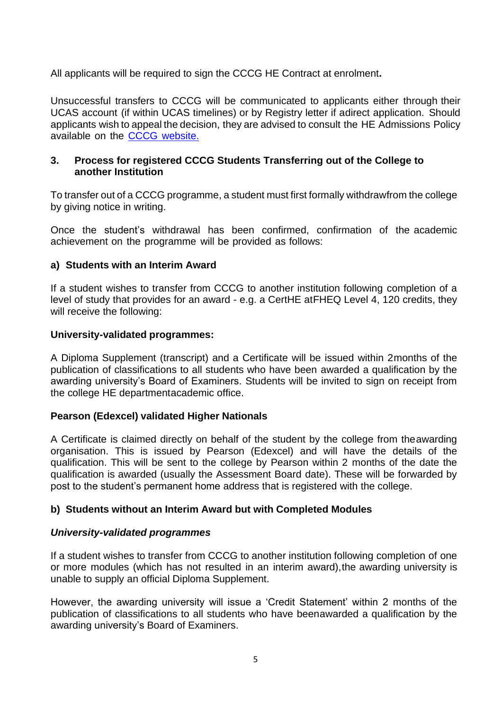All applicants will be required to sign the CCCG HE Contract at enrolment**.**

Unsuccessful transfers to CCCG will be communicated to applicants either through their UCAS account (if within UCAS timelines) or by Registry letter if adirect application. Should applicants wish to appeal the decision, they are advised to consult the HE Admissions Policy available on the CCCG [website.](https://www.capitalccg.ac.uk/annual-reports-compliance-statements/)

#### <span id="page-4-0"></span>**3. Process for registered CCCG Students Transferring out of the College to another Institution**

To transfer out of a CCCG programme, a student must first formally withdrawfrom the college by giving notice in writing.

Once the student's withdrawal has been confirmed, confirmation of the academic achievement on the programme will be provided as follows:

#### **a) Students with an Interim Award**

If a student wishes to transfer from CCCG to another institution following completion of a level of study that provides for an award - e.g. a CertHE atFHEQ Level 4, 120 credits, they will receive the following:

#### **University-validated programmes:**

A Diploma Supplement (transcript) and a Certificate will be issued within 2months of the publication of classifications to all students who have been awarded a qualification by the awarding university's Board of Examiners. Students will be invited to sign on receipt from the college HE departmentacademic office.

#### **Pearson (Edexcel) validated Higher Nationals**

A Certificate is claimed directly on behalf of the student by the college from theawarding organisation. This is issued by Pearson (Edexcel) and will have the details of the qualification. This will be sent to the college by Pearson within 2 months of the date the qualification is awarded (usually the Assessment Board date). These will be forwarded by post to the student's permanent home address that is registered with the college.

#### **b) Students without an Interim Award but with Completed Modules**

#### *University-validated programmes*

If a student wishes to transfer from CCCG to another institution following completion of one or more modules (which has not resulted in an interim award),the awarding university is unable to supply an official Diploma Supplement.

However, the awarding university will issue a 'Credit Statement' within 2 months of the publication of classifications to all students who have beenawarded a qualification by the awarding university's Board of Examiners.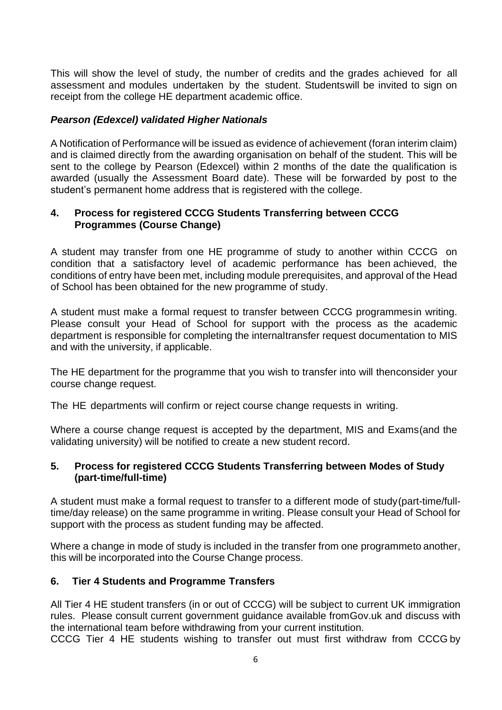This will show the level of study, the number of credits and the grades achieved for all assessment and modules undertaken by the student. Studentswill be invited to sign on receipt from the college HE department academic office.

#### *Pearson (Edexcel) validated Higher Nationals*

A Notification of Performance will be issued as evidence of achievement (foran interim claim) and is claimed directly from the awarding organisation on behalf of the student. This will be sent to the college by Pearson (Edexcel) within 2 months of the date the qualification is awarded (usually the Assessment Board date). These will be forwarded by post to the student's permanent home address that is registered with the college.

#### <span id="page-5-0"></span>**4. Process for registered CCCG Students Transferring between CCCG Programmes (Course Change)**

A student may transfer from one HE programme of study to another within CCCG on condition that a satisfactory level of academic performance has been achieved, the conditions of entry have been met, including module prerequisites, and approval of the Head of School has been obtained for the new programme of study.

A student must make a formal request to transfer between CCCG programmesin writing. Please consult your Head of School for support with the process as the academic department is responsible for completing the internaltransfer request documentation to MIS and with the university, if applicable.

The HE department for the programme that you wish to transfer into will thenconsider your course change request.

The HE departments will confirm or reject course change requests in writing.

Where a course change request is accepted by the department, MIS and Exams(and the validating university) will be notified to create a new student record.

#### <span id="page-5-1"></span>**5. Process for registered CCCG Students Transferring between Modes of Study (part-time/full-time)**

A student must make a formal request to transfer to a different mode of study(part-time/fulltime/day release) on the same programme in writing. Please consult your Head of School for support with the process as student funding may be affected.

Where a change in mode of study is included in the transfer from one programmeto another, this will be incorporated into the Course Change process.

#### <span id="page-5-2"></span>**6. Tier 4 Students and Programme Transfers**

All Tier 4 HE student transfers (in or out of CCCG) will be subject to current UK immigration rules. Please consult current government guidance available fromGov.uk and discuss with the international team before withdrawing from your current institution.

CCCG Tier 4 HE students wishing to transfer out must first withdraw from CCCG by